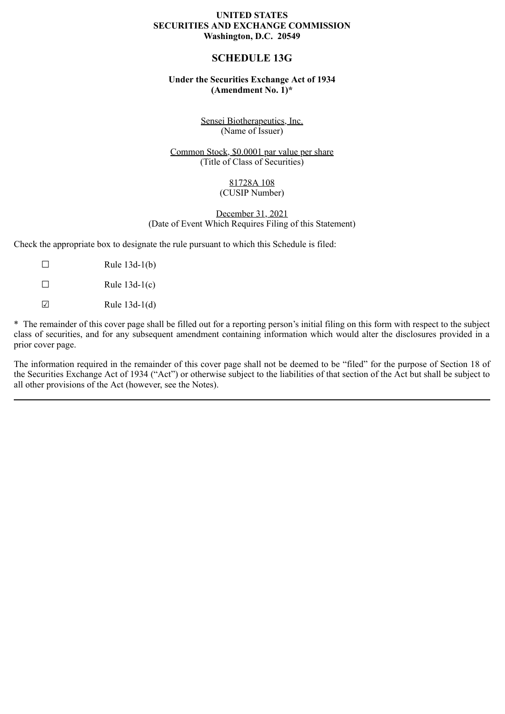# **UNITED STATES SECURITIES AND EXCHANGE COMMISSION Washington, D.C. 20549**

# **SCHEDULE 13G**

# **Under the Securities Exchange Act of 1934 (Amendment No. 1)\***

Sensei Biotherapeutics, Inc. (Name of Issuer)

Common Stock, \$0.0001 par value per share (Title of Class of Securities)

> 81728A 108 (CUSIP Number)

December 31, 2021 (Date of Event Which Requires Filing of this Statement)

Check the appropriate box to designate the rule pursuant to which this Schedule is filed:

 $\Box$  Rule 13d-1(b)  $\Box$  Rule 13d-1(c)  $\Box$  Rule 13d-1(d)

\* The remainder of this cover page shall be filled out for a reporting person's initial filing on this form with respect to the subject class of securities, and for any subsequent amendment containing information which would alter the disclosures provided in a prior cover page.

The information required in the remainder of this cover page shall not be deemed to be "filed" for the purpose of Section 18 of the Securities Exchange Act of 1934 ("Act") or otherwise subject to the liabilities of that section of the Act but shall be subject to all other provisions of the Act (however, see the Notes).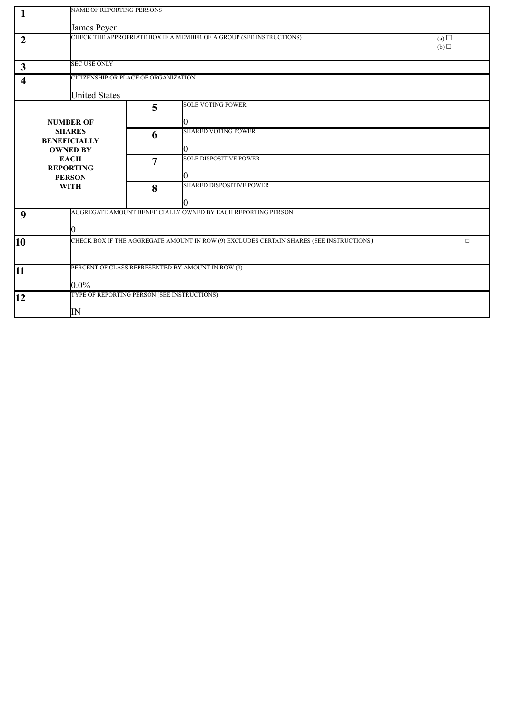|                      | <b>NAME OF REPORTING PERSONS</b>                                                                                 |                               |                                                                                                                                                                                                                                                                                                                                    |  |  |
|----------------------|------------------------------------------------------------------------------------------------------------------|-------------------------------|------------------------------------------------------------------------------------------------------------------------------------------------------------------------------------------------------------------------------------------------------------------------------------------------------------------------------------|--|--|
| James Peyer          |                                                                                                                  |                               |                                                                                                                                                                                                                                                                                                                                    |  |  |
|                      |                                                                                                                  |                               | (a) $\Box$<br>(b)                                                                                                                                                                                                                                                                                                                  |  |  |
| <b>SEC USE ONLY</b>  |                                                                                                                  |                               |                                                                                                                                                                                                                                                                                                                                    |  |  |
|                      | CITIZENSHIP OR PLACE OF ORGANIZATION                                                                             |                               |                                                                                                                                                                                                                                                                                                                                    |  |  |
| <b>United States</b> |                                                                                                                  |                               |                                                                                                                                                                                                                                                                                                                                    |  |  |
|                      | 5                                                                                                                | SOLE VOTING POWER             |                                                                                                                                                                                                                                                                                                                                    |  |  |
| <b>NUMBER OF</b>     |                                                                                                                  |                               |                                                                                                                                                                                                                                                                                                                                    |  |  |
| <b>SHARES</b>        | 6                                                                                                                | <b>SHARED VOTING POWER</b>    |                                                                                                                                                                                                                                                                                                                                    |  |  |
|                      |                                                                                                                  |                               |                                                                                                                                                                                                                                                                                                                                    |  |  |
| <b>EACH</b>          | 7                                                                                                                | <b>SOLE DISPOSITIVE POWER</b> |                                                                                                                                                                                                                                                                                                                                    |  |  |
|                      |                                                                                                                  | 0                             |                                                                                                                                                                                                                                                                                                                                    |  |  |
| <b>WITH</b>          | 8                                                                                                                | SHARED DISPOSITIVE POWER      |                                                                                                                                                                                                                                                                                                                                    |  |  |
|                      |                                                                                                                  |                               |                                                                                                                                                                                                                                                                                                                                    |  |  |
|                      |                                                                                                                  |                               |                                                                                                                                                                                                                                                                                                                                    |  |  |
|                      |                                                                                                                  |                               |                                                                                                                                                                                                                                                                                                                                    |  |  |
|                      |                                                                                                                  |                               | $\Box$                                                                                                                                                                                                                                                                                                                             |  |  |
|                      |                                                                                                                  |                               |                                                                                                                                                                                                                                                                                                                                    |  |  |
|                      |                                                                                                                  |                               |                                                                                                                                                                                                                                                                                                                                    |  |  |
|                      |                                                                                                                  |                               |                                                                                                                                                                                                                                                                                                                                    |  |  |
|                      |                                                                                                                  |                               |                                                                                                                                                                                                                                                                                                                                    |  |  |
|                      |                                                                                                                  |                               |                                                                                                                                                                                                                                                                                                                                    |  |  |
|                      | <b>BENEFICIALLY</b><br><b>OWNED BY</b><br><b>REPORTING</b><br><b>PERSON</b><br>$0.0\%$<br>$\overline{\text{IN}}$ |                               | CHECK THE APPROPRIATE BOX IF A MEMBER OF A GROUP (SEE INSTRUCTIONS)<br>AGGREGATE AMOUNT BENEFICIALLY OWNED BY EACH REPORTING PERSON<br>CHECK BOX IF THE AGGREGATE AMOUNT IN ROW (9) EXCLUDES CERTAIN SHARES (SEE INSTRUCTIONS)<br>PERCENT OF CLASS REPRESENTED BY AMOUNT IN ROW (9)<br>TYPE OF REPORTING PERSON (SEE INSTRUCTIONS) |  |  |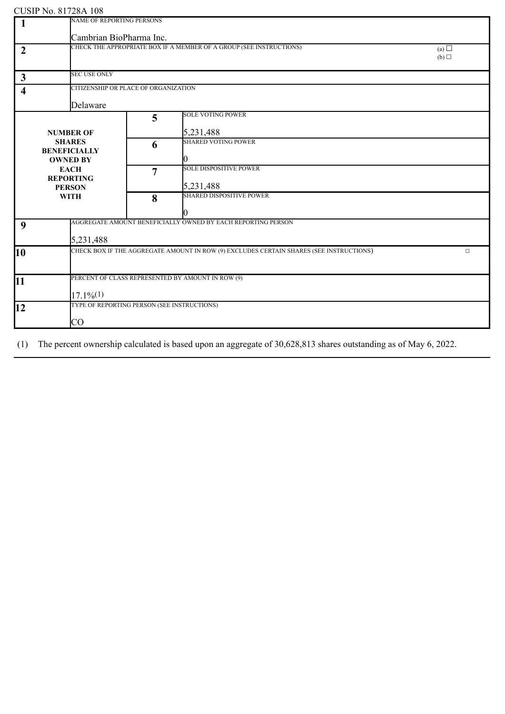|                | COOH TW. 01720/1100<br>NAME OF REPORTING PERSONS |                         |                                                                                         |                   |  |  |
|----------------|--------------------------------------------------|-------------------------|-----------------------------------------------------------------------------------------|-------------------|--|--|
| $\mathbf{1}$   |                                                  |                         |                                                                                         |                   |  |  |
|                |                                                  | Cambrian BioPharma Inc. |                                                                                         |                   |  |  |
|                |                                                  |                         | CHECK THE APPROPRIATE BOX IF A MEMBER OF A GROUP (SEE INSTRUCTIONS)                     |                   |  |  |
| $\overline{2}$ |                                                  |                         |                                                                                         | (a) $\Box$<br>(b) |  |  |
|                |                                                  |                         |                                                                                         |                   |  |  |
|                | <b>SEC USE ONLY</b>                              |                         |                                                                                         |                   |  |  |
| $\mathbf{3}$   |                                                  |                         |                                                                                         |                   |  |  |
| 4              | CITIZENSHIP OR PLACE OF ORGANIZATION             |                         |                                                                                         |                   |  |  |
|                |                                                  |                         |                                                                                         |                   |  |  |
|                | Delaware                                         |                         |                                                                                         |                   |  |  |
|                |                                                  | 5                       | <b>SOLE VOTING POWER</b>                                                                |                   |  |  |
|                |                                                  |                         |                                                                                         |                   |  |  |
|                | <b>NUMBER OF</b>                                 |                         | 5,231,488                                                                               |                   |  |  |
|                | <b>SHARES</b>                                    | 6                       | <b>SHARED VOTING POWER</b>                                                              |                   |  |  |
|                | <b>BENEFICIALLY</b>                              |                         |                                                                                         |                   |  |  |
|                | <b>OWNED BY</b>                                  |                         | K)                                                                                      |                   |  |  |
|                | <b>EACH</b>                                      | 7                       | <b>SOLE DISPOSITIVE POWER</b>                                                           |                   |  |  |
|                | <b>REPORTING</b>                                 |                         |                                                                                         |                   |  |  |
|                | <b>PERSON</b>                                    |                         | 5,231,488                                                                               |                   |  |  |
|                | <b>WITH</b>                                      | 8                       | <b>SHARED DISPOSITIVE POWER</b>                                                         |                   |  |  |
|                |                                                  |                         |                                                                                         |                   |  |  |
|                |                                                  |                         |                                                                                         |                   |  |  |
| 9              |                                                  |                         | AGGREGATE AMOUNT BENEFICIALLY OWNED BY EACH REPORTING PERSON                            |                   |  |  |
|                |                                                  |                         |                                                                                         |                   |  |  |
|                | 5,231,488                                        |                         |                                                                                         |                   |  |  |
| 10             |                                                  |                         | CHECK BOX IF THE AGGREGATE AMOUNT IN ROW (9) EXCLUDES CERTAIN SHARES (SEE INSTRUCTIONS) | $\Box$            |  |  |
|                |                                                  |                         |                                                                                         |                   |  |  |
|                |                                                  |                         |                                                                                         |                   |  |  |
|                |                                                  |                         | PERCENT OF CLASS REPRESENTED BY AMOUNT IN ROW (9)                                       |                   |  |  |
| 11             |                                                  |                         |                                                                                         |                   |  |  |
|                | $17.1\%/1)$                                      |                         |                                                                                         |                   |  |  |
|                | TYPE OF REPORTING PERSON (SEE INSTRUCTIONS)      |                         |                                                                                         |                   |  |  |
| 12             |                                                  |                         |                                                                                         |                   |  |  |
|                | $\rm CO$                                         |                         |                                                                                         |                   |  |  |
|                |                                                  |                         |                                                                                         |                   |  |  |

(1) The percent ownership calculated is based upon an aggregate of 30,628,813 shares outstanding as of May 6, 2022.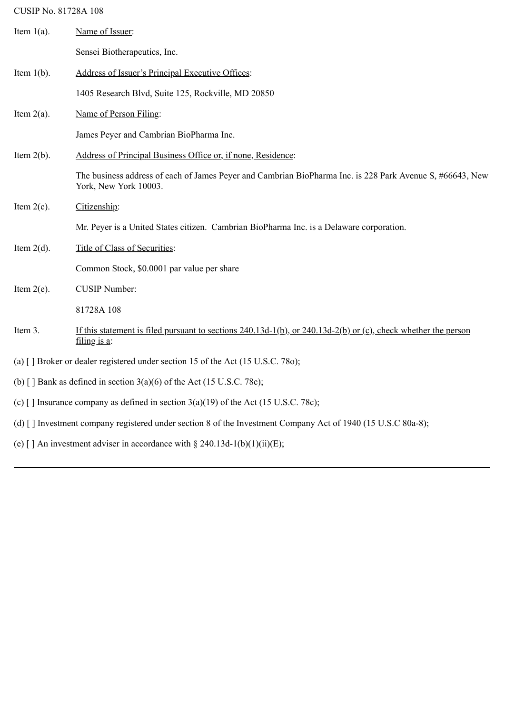| Item $1(a)$ .                                                                           | Name of Issuer:                                                                                                                    |  |  |  |
|-----------------------------------------------------------------------------------------|------------------------------------------------------------------------------------------------------------------------------------|--|--|--|
|                                                                                         | Sensei Biotherapeutics, Inc.                                                                                                       |  |  |  |
| Item $1(b)$ .                                                                           | Address of Issuer's Principal Executive Offices:                                                                                   |  |  |  |
|                                                                                         | 1405 Research Blvd, Suite 125, Rockville, MD 20850                                                                                 |  |  |  |
| Item $2(a)$ .                                                                           | Name of Person Filing:                                                                                                             |  |  |  |
|                                                                                         | James Peyer and Cambrian BioPharma Inc.                                                                                            |  |  |  |
| Item $2(b)$ .                                                                           | Address of Principal Business Office or, if none, Residence:                                                                       |  |  |  |
|                                                                                         | The business address of each of James Peyer and Cambrian BioPharma Inc. is 228 Park Avenue S, #66643, New<br>York, New York 10003. |  |  |  |
| Item $2(c)$ .                                                                           | Citizenship:                                                                                                                       |  |  |  |
|                                                                                         | Mr. Peyer is a United States citizen. Cambrian BioPharma Inc. is a Delaware corporation.                                           |  |  |  |
| Item $2(d)$ .                                                                           | Title of Class of Securities:                                                                                                      |  |  |  |
|                                                                                         | Common Stock, \$0.0001 par value per share                                                                                         |  |  |  |
| Item $2(e)$ .                                                                           | <b>CUSIP Number:</b>                                                                                                               |  |  |  |
|                                                                                         | 81728A 108                                                                                                                         |  |  |  |
| Item 3.                                                                                 | If this statement is filed pursuant to sections 240.13d-1(b), or 240.13d-2(b) or (c), check whether the person<br>$filing$ is a:   |  |  |  |
| (a) $\lceil$ ] Broker or dealer registered under section 15 of the Act (15 U.S.C. 780); |                                                                                                                                    |  |  |  |
| (b) $\lceil$ Bank as defined in section 3(a)(6) of the Act (15 U.S.C. 78c);             |                                                                                                                                    |  |  |  |
| (c) [] Insurance company as defined in section $3(a)(19)$ of the Act (15 U.S.C. 78c);   |                                                                                                                                    |  |  |  |
|                                                                                         | (d) [] Investment company registered under section 8 of the Investment Company Act of 1940 (15 U.S.C 80a-8);                       |  |  |  |

(e) [] An investment adviser in accordance with  $\S 240.13d-1(b)(1)(ii)(E);$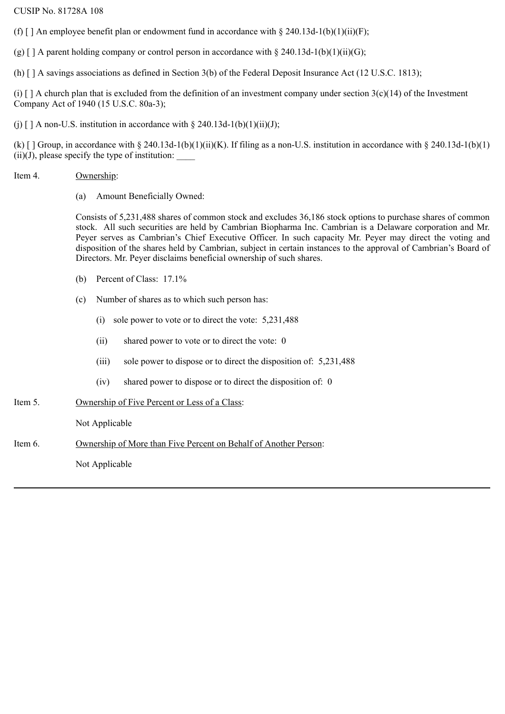(f)  $\lceil \int$  An employee benefit plan or endowment fund in accordance with § 240.13d-1(b)(1)(ii)(F);

(g)  $[ ]$  A parent holding company or control person in accordance with § 240.13d-1(b)(1)(ii)(G);

(h) [ ] A savings associations as defined in Section 3(b) of the Federal Deposit Insurance Act (12 U.S.C. 1813);

(i)  $\lceil$  ] A church plan that is excluded from the definition of an investment company under section 3(c)(14) of the Investment Company Act of 1940 (15 U.S.C. 80a-3);

(j)  $\lceil$  | A non-U.S. institution in accordance with § 240.13d-1(b)(1)(ii)(J);

(k)  $\lceil$  ] Group, in accordance with § 240.13d-1(b)(1)(ii)(K). If filing as a non-U.S. institution in accordance with § 240.13d-1(b)(1)  $(ii)(J)$ , please specify the type of institution:

#### Item 4. Ownership:

(a) Amount Beneficially Owned:

Consists of 5,231,488 shares of common stock and excludes 36,186 stock options to purchase shares of common stock. All such securities are held by Cambrian Biopharma Inc. Cambrian is a Delaware corporation and Mr. Peyer serves as Cambrian's Chief Executive Officer. In such capacity Mr. Peyer may direct the voting and disposition of the shares held by Cambrian, subject in certain instances to the approval of Cambrian's Board of Directors. Mr. Peyer disclaims beneficial ownership of such shares.

- (b) Percent of Class: 17.1%
- (c) Number of shares as to which such person has:
	- (i) sole power to vote or to direct the vote: 5,231,488
	- (ii) shared power to vote or to direct the vote: 0
	- (iii) sole power to dispose or to direct the disposition of: 5,231,488
	- (iv) shared power to dispose or to direct the disposition of: 0
- Item 5. Ownership of Five Percent or Less of a Class:

Not Applicable

Item 6. Ownership of More than Five Percent on Behalf of Another Person:

Not Applicable